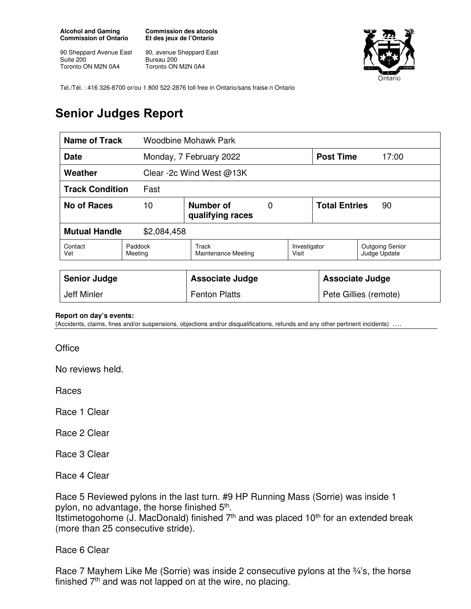**Alcohol and Gaming Commission of Ontario** 

90 Sheppard Avenue East Suite 200 Toronto ON M2N 0A4

**Commission des alcools Et des jeux de l'Ontario** 

90, avenue Sheppard East Bureau 200 Toronto ON M2N 0A4



Tel./Tél. : 416 326-8700 or/ou 1 800 522-2876 toll free in Ontario/sans fraise n Ontario

## **Senior Judges Report**

| <b>Name of Track</b>                |                                          | Woodbine Mohawk Park         |  |                            |                  |                                        |
|-------------------------------------|------------------------------------------|------------------------------|--|----------------------------|------------------|----------------------------------------|
| Date                                |                                          | Monday, 7 February 2022      |  |                            | <b>Post Time</b> | 17:00                                  |
| Weather                             |                                          | Clear -2c Wind West @13K     |  |                            |                  |                                        |
| <b>Track Condition</b><br>Fast      |                                          |                              |  |                            |                  |                                        |
| No of Races                         | Number of<br>10<br>0<br>qualifying races |                              |  | <b>Total Entries</b><br>90 |                  |                                        |
| <b>Mutual Handle</b><br>\$2,084,458 |                                          |                              |  |                            |                  |                                        |
| Contact<br>Vet                      | Paddock<br>Meeting                       | Track<br>Maintenance Meeting |  | Investigator<br>Visit      |                  | <b>Outgoing Senior</b><br>Judge Update |
|                                     |                                          |                              |  |                            |                  |                                        |
| <b>Senior Judge</b>                 |                                          | <b>Associate Judge</b>       |  | <b>Associate Judge</b>     |                  |                                        |
| Jeff Minler                         |                                          | <b>Fenton Platts</b>         |  | Pete Gillies (remote)      |                  |                                        |

## **Report on day's events:**

(Accidents, claims, fines and/or suspensions, objections and/or disqualifications, refunds and any other pertinent incidents) ….

**Office** 

No reviews held.

Races

Race 1 Clear

Race 2 Clear

Race 3 Clear

Race 4 Clear

Race 5 Reviewed pylons in the last turn. #9 HP Running Mass (Sorrie) was inside 1 pylon, no advantage, the horse finished 5<sup>th</sup>. Itstimetogohome (J. MacDonald) finished  $7<sup>th</sup>$  and was placed 10<sup>th</sup> for an extended break (more than 25 consecutive stride).

Race 6 Clear

Race 7 Mayhem Like Me (Sorrie) was inside 2 consecutive pylons at the 34's, the horse finished 7<sup>th</sup> and was not lapped on at the wire, no placing.